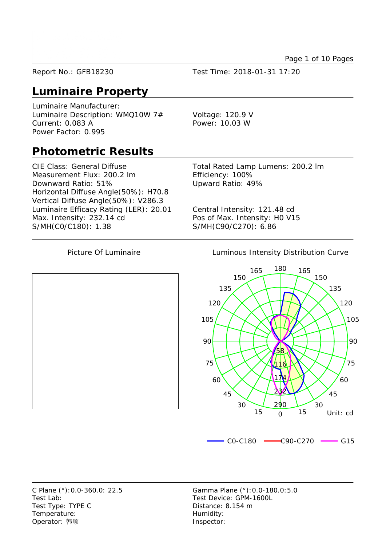Page 1 of 10 Pages

Report No.: GFB18230 Test Time: 2018-01-31 17:20

# **Luminaire Property**

Luminaire Manufacturer: Luminaire Description: WMQ10W 7# Voltage: 120.9 V Current: 0.083 A Power: 10.03 W Power Factor: 0.995

# **Photometric Results**

CIE Class: General Diffuse Total Rated Lamp Lumens: 200.2 lm Measurement Flux: 200.2 lm Efficiency: 100% Downward Ratio: 51% Upward Ratio: 49% Horizontal Diffuse Angle(50%): H70.8 Vertical Diffuse Angle(50%): V286.3 Luminaire Efficacy Rating (LER): 20.01 Central Intensity: 121.48 cd Max. Intensity: 232.14 cd Pos of Max. Intensity: H0 V15 S/MH(C0/C180): 1.38 S/MH(C90/C270): 6.86

Picture Of Luminaire **Luminous Intensity Distribution Curve** 



Test Lab: Test Device: GPM-1600L Test Type: TYPE C Distance: 8.154 m Temperature: Temperature: Operator: 韩顺 **Inspector:** 

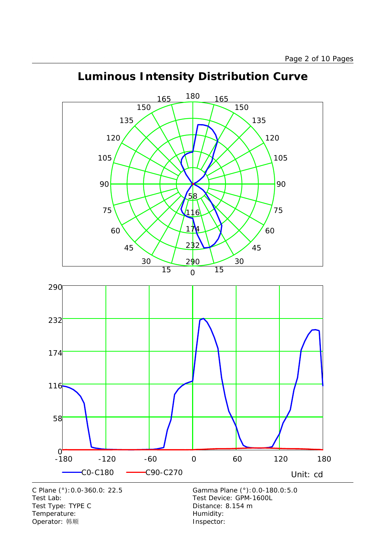

-180 -120 -60 0 60 120 180

C0-C180 C90-C270 Unit: cd

# **Luminous Intensity Distribution Curve**

C Plane (°):0.0-360.0: 22.5 Gamma Plane (°):0.0-180.0:5.0 Test Lab: Test Device: GPM-1600L Test Type: TYPE C COME CONTROLLER Distance: 8.154 m Temperature: Temperature: Temperature: Operator: 韩顺 **Inspector:** 

 $0 - 180$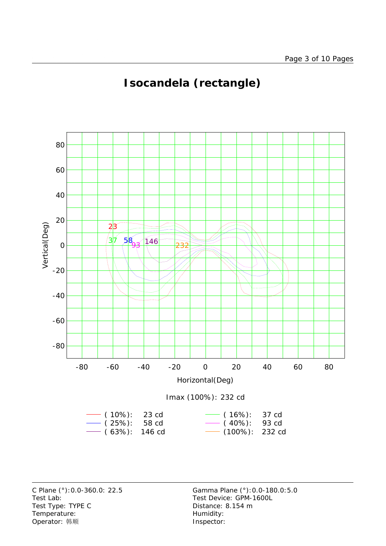

# **Isocandela (rectangle)**



Test Lab: Test Device: GPM-1600L Test Type: TYPE C Distance: 8.154 m Temperature: Temperature: Temperature: Operator: 韩顺 **Inspector:**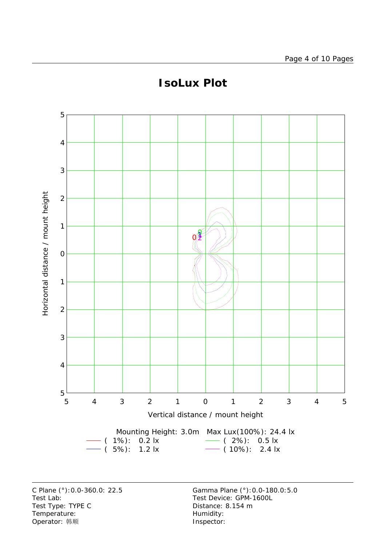

# **IsoLux Plot**

Test Lab:<br>
Test Type: TYPE C<br>
Test Type: TYPE C<br>
Test Type: TYPE C<br>
Test Type: TYPE C Test Type: TYPE C Temperature: Temperature: Temperature: Operator: 韩顺 **Inspector:**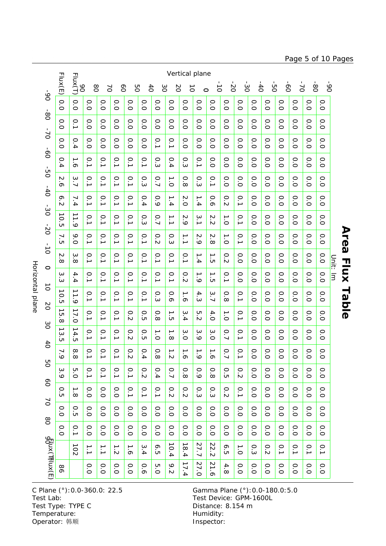Horizontal plane Horizontal plane

|                                            | Flux(E)                                  | Flux(T)<br>9Q                                  |                                     | 80<br>$\geq$     | $\delta$                                | 8O                                   | $\overline{6}$           | 3O                  | <b>NO</b>               | Vertical plane<br>$\vec{0}$          | $\circ$          | $\vec{o}$                        | $\overline{O}$                          | $\frac{1}{20}$    | $-40$              | ģ                  | $\dot{\sigma}$     | $\sum$             | $08-$                       |                    | 6 <sup>o</sup> |              |
|--------------------------------------------|------------------------------------------|------------------------------------------------|-------------------------------------|------------------|-----------------------------------------|--------------------------------------|--------------------------|---------------------|-------------------------|--------------------------------------|------------------|----------------------------------|-----------------------------------------|-------------------|--------------------|--------------------|--------------------|--------------------|-----------------------------|--------------------|----------------|--------------|
| $\infty$                                   | 0.0                                      | 0.0                                            | O.O                                 | O.O              | 0.0                                     | O.0                                  | 0.0                      | O.O                 | O.0                     | 0.0                                  | O.0              | O.0                              | 0.0                                     | O.O               | 0.0                | O.O                | 0.0                | 0.0                | O.0                         | O.0                |                |              |
| $\frac{6}{90}$<br>$\sim$<br>$\overline{0}$ | O.0                                      | 0.1                                            | 0.0                                 | O.O              | 0.0                                     | 0.0                                  | 0.0                      | O.O                 | 0.0                     | 0.0                                  | O.O              | O.0                              | 0.0                                     | O.O               | 0.0                | O.O                | O.0                | O.O                | 0.0                         | O.0                |                |              |
|                                            | $\circ$<br>ö                             | 0.4                                            | O.0                                 | O.0              | O.O                                     | O.O                                  | O.0                      | 0.1                 | 0.1                     | 0.0                                  | O.0              | O.O                              | 0.0                                     | O.0               | O.O                | O. O               | O.0                | O.0                | O.O                         | O.O                |                |              |
|                                            | 0.4                                      | $\overline{\phantom{0}}$<br>$\sigma$           | $\overline{0}$ .                    | $\overline{0}$ . | 0.1                                     | $\overline{0}$ .                     | 0.1                      | O.3                 | 0.4                     | 0.3                                  | $\overline{0}$ . | 0.0                              | 0.0                                     | O.0               | O.0                | O.0                | O.0                | O.0                | O.0                         | O.0                |                |              |
| ģ                                          | N<br>$\sigma$                            | 3.7                                            | $\overline{0}$ .                    | 0.1              | 0.1                                     | $\overline{0}$ .                     | 0.3                      | 0.7                 | $\frac{1}{\circ}$       | 0.8                                  | С.З              | 0.1                              | 0.0                                     | O.O               | O.O                | 0.0                | 0.0                | 0.0                | 0.0                         | O.O                |                |              |
| $-40$                                      | ᡐ<br>.<br>N                              | 7.4                                            | $\overline{0}$ .                    | $\overline{0}$ . | $\overline{0}$ .                        | $\overline{0}$ .                     | 0.4                      | 0.9                 | 1.4                     | 2.0                                  | 1.4              | 0.6                              | 0.2                                     | $\overline{0}$ .  | O.O                | O.O                | O.0                | 0.0                | O.O                         | O.0                |                |              |
| öΰ                                         | ∸<br>$\circ$<br>.<br>ப                   | →<br>$\overline{\phantom{a}}$<br>$\dot{\circ}$ | $\overline{0}$ .1                   | 0.1              | 0.1                                     | $\overline{0}$ .                     | 0.3                      | 0.7                 | $\overrightarrow{.}$    | 2.9                                  | 3.1              | $\mathcal{N}$<br>$\sim$          | $\overline{C}$                          | 0.1               | 0.0                | 0.0                | 0.0                | O.0                | 0.0                         | O.0                |                |              |
| $-20$<br>$\frac{1}{\sqrt{2}}$              | ┙<br>$\sigma$                            | 9.0                                            | $\overline{0}$ .                    | $\overline{0}$ . | 0.1                                     | $\overline{0}$ .                     | 0.1                      | 0.2                 | 0.3                     | $\frac{1}{2}$                        | 2.9              | $\sim$<br>$\infty$               | $\overbrace{\phantom{a}}^{\phantom{a}}$ | 0.1               | O.0                | O. O               | O. O               | 0.0                | 0.0                         | O.O                |                | Area         |
|                                            | N<br>$\infty$                            | $\omega$<br>$\infty$                           | $\overline{0}$ .                    | $\overline{0}$ . | $\overline{0}$ .                        | 0.1                                  | 0.1                      | 0.1                 | $\overline{0}$ .        | 0.1                                  | 1.4              | $\frac{1}{\Omega}$               | 0.2                                     | O.0               | 0.0                | O. O               | O. O               | 0.0                | 0.0                         | O. O               |                |              |
| $\circ$                                    | $\omega$<br>ω                            | 4.4                                            | $\overline{0}$ .                    | $\overline{0}$ . | $\overline{0}$ .                        | $\overline{0}$ .                     | 0.1                      | $\overline{0}$ .    | $\overline{0}$ .        | 0.2                                  | $\frac{1}{6}$    | د<br>$\overline{C}$              | 0.1                                     | O.0               | O.O                | O.O                | O.0                | 0.0                | 0.0                         | O.O                | Unit: Im       | <b>Flux</b>  |
| $\vec{o}$<br>b <sub>2</sub>                | ∸<br>$\circ$<br>.<br>ப                   | 11.9                                           | 0.1                                 | $\overline{0}$ . | $\overline{0}$ .                        | $\overline{0}$ .                     | 0.1                      | O.3                 | 0.6                     | $\frac{1}{6}$                        | 4.3              | 3.7                              | 0.8                                     | $\overline{0}$ .  | 0.0                | O.O                | 0.0                | 0.0                | 0.0                         | O.0                |                | <b>Table</b> |
| $\infty$                                   | ∸<br>C<br>$\infty$                       | 17.0                                           | 0.1                                 | 0.1              | 0.1                                     | 0.2                                  | O.5                      | 0.8                 | ∸<br>.<br>எ             | $\omega$<br>.<br>4                   | U<br>$\sim$      | 4.0                              | $\overline{C}$                          | 0.1               | O. O               | O. O               | 0.0                | O. O               | O. O                        | O. O               |                |              |
| $\uparrow$                                 | ∸<br>$\omega$<br>$\overline{\mathsf{c}}$ | 14.5                                           | $\overline{0}$ .                    | $\overline{0}$ . | $\overline{0}$ .                        | 0.2                                  | $\circ$<br>.<br>எ        | $\frac{1}{\circ}$   | →<br>$\infty$           | $\omega$<br>ö                        | 3.9              | $\sim$<br>$\circ$                | 0.7                                     | 0.1               | O. O               | O.0                | O.0                | O. O               | O.0                         | O. O               |                |              |
|                                            | $\mathbf{N}$<br>$\circ$                  | $\infty$<br>$\infty$                           | $\circ$<br>$\overline{\phantom{a}}$ | $\circ$<br>→     | $\circ$<br>$\overline{\phantom{a}}$     | $\circ$<br>$\sim$                    | $\circ$<br>$\rightarrow$ | $\circ$<br>$\infty$ | $\rightarrow$<br>$\sim$ | $\overline{\phantom{a}}$<br>$\infty$ | →<br>$\circ$     | →<br>$\sigma$                    | $\circ$<br>$\overline{\phantom{0}}$     | $\circ$<br>∸      | $\circ$<br>$\circ$ | $\circ$<br>$\circ$ | $\circ$<br>$\circ$ | $\circ$<br>$\circ$ | $\circ$<br>$\sum_{i=1}^{n}$ | $\circ$<br>$\circ$ |                |              |
| 8O                                         | $\omega$<br>$\circ$                      | 5.0                                            | 0.1                                 | O.<br>→          | $\rm \odot$<br>$\overline{\phantom{a}}$ | $\overline{0}$                       | 0.2                      | 0.4                 | 0.7                     | $\circ$<br>$\infty$                  | 0.9              | $\circ$<br>$\infty$              | $\rm \odot$<br>CΠ                       | 0.2               | 0.0                | 0.0                | O.O                | O.O                | 0.0                         | O.O                |                |              |
| $\infty$                                   | $\circ$<br>$\overline{C}$                | $\frac{1}{8}$                                  | O.0                                 | $\frac{0}{0}$    | O.0                                     | $\overline{0}$ .                     | $\overline{0}$ .         | $\overline{0}$ .    | 0.2                     | 0.2                                  | С.З              | $\circ$<br>$\omega$              | 0.2                                     | $\overline{0}$ .  | O.0                | O.O                | O.0                | $\overline{O}$     | O.O                         | O.0                |                |              |
| $\sum$<br>$\frac{8}{2}$                    | O.O                                      | О.<br>Ю                                        | O.0                                 | $\frac{0}{0}$    | O.0                                     | O.O                                  | $\overline{O}$           | $\frac{0}{0}$       | O.0                     | O.0                                  | O.0              | O.0                              | O.0                                     | $\frac{0}{0}$     | O.0                | O.0                | O.0                | $\overline{O}$     | O.0                         | O.0                |                |              |
|                                            | O.O                                      | 0.1                                            | O.0                                 | $\overline{O}$   | $\overline{O}$                          | O.O                                  | $\overline{O}$           | $\overline{O}$      | O.0                     | O.O                                  | O.0              | O.0                              | O.0                                     | $\frac{0}{0}$     | O.0                | O.O                | O.0                | O.0                | O.0                         | O.O                |                |              |
|                                            |                                          | 102                                            | $\overline{\phantom{0}}$            | $\overline{L}$   | $\frac{1}{2}$                           | $\overline{\phantom{0}}$<br>$\sigma$ | 3.4                      | ó.5                 | 10.4                    | $\overline{\phantom{0}}$<br>8.4      | 27.7             | $\overline{c}$<br>$\overline{N}$ | <b>6.5</b>                              | $\frac{1}{\circ}$ | 0.3                | 0.2                | 0.1                | $\overline{0}$ .   | $\overline{0}$ .            | $\overline{0}$ .   |                |              |
| d σειν (Τθιυχ (Ε)                          | 98                                       |                                                | $\frac{0}{0}$                       | $\frac{0}{0}$    | $\frac{0}{0}$                           | O.0                                  | 0.6                      | С.О                 | 9.2                     | د<br>7.4                             | 27.0             | 21.6                             | 4.8                                     | O.O               | O.0                | O.O                | $\frac{0}{0}$      | $\frac{0}{0}$      | O.0                         | O.0                |                |              |

Test Lab: Test Device: GPM-1600L Test Type: TYPE C<br>Test Type: TYPE C<br>Distance: 8.154 m Temperature: We are the more than the Humidity:<br>
Operator: 韩顺 Network: This are the Museum of the Museo of the Museo of the Museo of the Museo of the Museo of the Museo of the Museo of the Museo of the Museo of the Museo Operator: 韩顺

C Plane (°):0.0-360.0: 22.5 Gamma Plane (°):0.0-180.0:5.0

### Page 5 of 10 Pages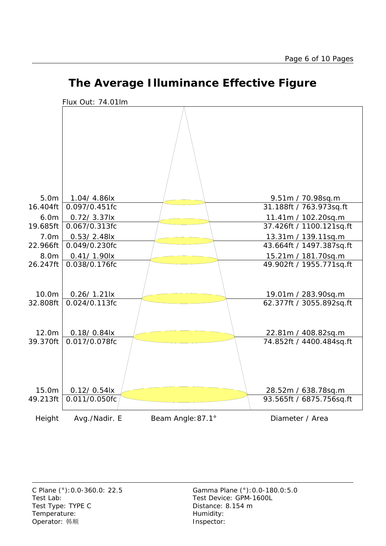

# **The Average Illuminance Effective Figure**

Test Lab: Test Device: GPM-1600L Test Type: TYPE C Distance: 8.154 m Temperature: Temperature: Temperature: Operator: 韩顺 **Inspector:**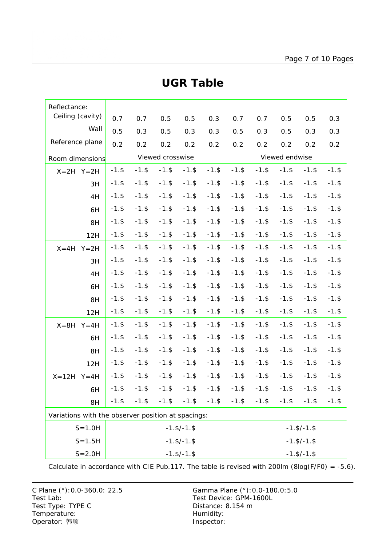| Reflectance:                                       |          |          |                  |                    |          |                    |          |          |          |          |  |  |
|----------------------------------------------------|----------|----------|------------------|--------------------|----------|--------------------|----------|----------|----------|----------|--|--|
| Ceiling (cavity)                                   | 0.7      | 0.7      | 0.5              | 0.5                | 0.3      | 0.7                | 0.7      | 0.5      | 0.5      | 0.3      |  |  |
| Wall                                               | 0.5      | 0.3      | 0.5              | 0.3                | 0.3      | 0.5                | 0.3      | 0.5      | 0.3      | 0.3      |  |  |
| Reference plane                                    | 0.2      | 0.2      | 0.2              | 0.2                | 0.2      | 0.2                | 0.2      | 0.2      | 0.2      | 0.2      |  |  |
| Room dimensions                                    |          |          | Viewed crosswise |                    |          | Viewed endwise     |          |          |          |          |  |  |
| $X=2H$ $Y=2H$                                      | $-1.$ \$ | $-1.$ \$ | $-1.$ \$         | $-1.$ \$           | $-1.$ \$ | $-1.$ \$           | $-1.$ \$ | $-1.$ \$ | $-1.$ \$ | $-1.$ \$ |  |  |
| 3H                                                 | $-1.$ \$ | $-1.$ \$ | $-1.$ \$         | $-1.$ \$           | $-1.$ \$ | $-1.$ \$           | $-1.$ \$ | $-1.$ \$ | $-1.$ \$ | $-1.$ \$ |  |  |
| 4H                                                 | $-1.$ \$ | $-1.$ \$ | $-1.$ \$         | $-1.$ \$           | $-1.$ \$ | $-1.$ \$           | $-1.$ \$ | $-1.$ \$ | $-1.$ \$ | $-1.$ \$ |  |  |
| 6H                                                 | $-1.$ \$ | $-1.$ \$ | $-1.$ \$         | $-1.$ \$           | $-1.$ \$ | $-1.$ \$           | $-1.$ \$ | $-1.$ \$ | $-1.$ \$ | $-1.$ \$ |  |  |
| 8H                                                 | $-1.$ \$ | $-1.$ \$ | $-1.$ \$         | $-1.$ \$           | $-1.$ \$ | $-1.$ \$           | $-1.$ \$ | $-1.$ \$ | $-1.$ \$ | $-1.$ \$ |  |  |
| 12H                                                | $-1.$ \$ | $-1.$ \$ | $-1.$ \$         | $-1.$ \$           | $-1.$ \$ | $-1.$ \$           | $-1.$ \$ | $-1.$ \$ | $-1.$ \$ | $-1.$ \$ |  |  |
| $X = 4H$<br>$Y = 2H$                               | $-1.$ \$ | $-1.$ \$ | $-1.$ \$         | $-1.$ \$           | $-1.$ \$ | $-1.$ \$           | $-1.$ \$ | $-1.$ \$ | $-1.$ \$ | $-1.$ \$ |  |  |
| 3H                                                 | $-1.$ \$ | $-1.$ \$ | $-1.$ \$         | $-1.$ \$           | $-1.$ \$ | $-1.$ \$           | $-1.$ \$ | $-1.$ \$ | $-1.$ \$ | $-1.$ \$ |  |  |
| 4H                                                 | $-1.$ \$ | $-1.$ \$ | $-1.$ \$         | $-1.$ \$           | $-1.$ \$ | $-1.$ \$           | $-1.$ \$ | $-1.$ \$ | $-1.$ \$ | $-1.$ \$ |  |  |
| 6H                                                 | $-1.$ \$ | $-1.$ \$ | $-1.$ \$         | $-1.$ \$           | $-1.$ \$ | $-1.$ \$           | $-1.$ \$ | $-1.$ \$ | $-1.$ \$ | $-1.$ \$ |  |  |
| 8H                                                 | $-1.$ \$ | $-1.$ \$ | $-1.$ \$         | $-1.$ \$           | $-1.$ \$ | $-1.$ \$           | $-1.$ \$ | $-1.$ \$ | $-1.$ \$ | $-1.$ \$ |  |  |
| 12H                                                | $-1.$ \$ | $-1.$ \$ | $-1.$ \$         | $-1.$ \$           | $-1.$ \$ | $-1.$ \$           | $-1.$ \$ | $-1.$ \$ | $-1.$ \$ | $-1.$ \$ |  |  |
| $X = 8H$<br>$Y = 4H$                               | $-1.$ \$ | $-1.$ \$ | $-1.$ \$         | $-1.$ \$           | $-1.$ \$ | $-1.$ \$           | $-1.$ \$ | $-1.$ \$ | $-1.$ \$ | $-1.$ \$ |  |  |
| 6H                                                 | $-1.$ \$ | $-1.$ \$ | $-1.$ \$         | $-1.$ \$           | $-1.$ \$ | $-1.$ \$           | $-1.$ \$ | $-1.$ \$ | $-1.$ \$ | $-1.$ \$ |  |  |
| 8H                                                 | $-1.$ \$ | $-1.$ \$ | $-1.$ \$         | $-1.$ \$           | $-1.$ \$ | $-1.$ \$           | $-1.$ \$ | $-1.$ \$ | $-1.$ \$ | $-1.$ \$ |  |  |
| 12H                                                | $-1.$ \$ | $-1.$ \$ | $-1.$ \$         | $-1.$ \$           | $-1.$ \$ | $-1.$ \$           | $-1.$ \$ | $-1.$ \$ | $-1.$ \$ | $-1.$ \$ |  |  |
| $X = 12H$<br>$Y = 4H$                              | $-1.$ \$ | $-1.$ \$ | $-1.$ \$         | $-1.$ \$           | $-1.$ \$ | $-1.$ \$           | $-1.$ \$ | $-1.$ \$ | $-1.$ \$ | $-1.$ \$ |  |  |
| 6H                                                 | $-1.$ \$ | $-1.$ \$ |                  | $-1.$ \$ $-1.$ \$  | $-1.$ \$ | $-1.$ \$           | $-1.$ \$ | $-1.$ \$ | $-1.$ \$ | $-1.$ \$ |  |  |
| 8H                                                 | $-1.$ \$ | $-1.$ \$ | $-1.$ \$         | $-1.$ \$           | $-1.$ \$ | $-1.$ \$           | $-1.$ \$ | $-1.$ \$ | $-1.$ \$ | $-1.$ \$ |  |  |
| Variations with the observer position at spacings: |          |          |                  |                    |          |                    |          |          |          |          |  |  |
| $S = 1.0H$                                         |          |          |                  | $-1.$ \$/ $-1.$ \$ |          | $-1.$ \$/ $-1.$ \$ |          |          |          |          |  |  |
| $S = 1.5H$                                         |          |          |                  | $-1.$ \$/ $-1.$ \$ |          | $-1.$ \$/ $-1.$ \$ |          |          |          |          |  |  |
| $S = 2.0H$                                         |          |          |                  | $-1.$ \$/ $-1.$ \$ |          | $-1.$ \$/ $-1.$ \$ |          |          |          |          |  |  |

### **UGR Table**

Calculate in accordance with CIE Pub.117. The table is revised with 200lm (8log(F/F0) = -5.6).

Test Lab: Test Device: GPM-1600L Test Type: TYPE C Distance: 8.154 m Temperature: Temperature: Temperature: Operator: 韩顺 **Inspector:**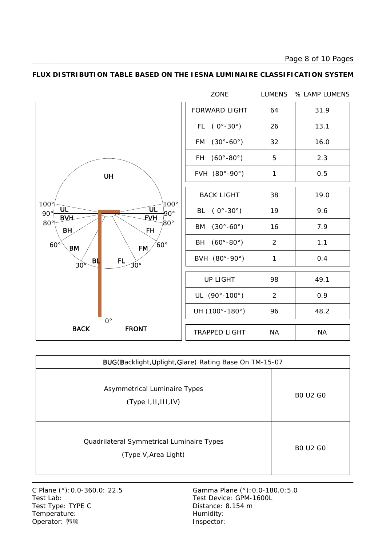Page 8 of 10 Pages



#### **FLUX DISTRIBUTION TABLE BASED ON THE IESNA LUMINAIRE CLASSIFICATION SYSTEM**

| BUG(Backlight, Uplight, Glare) Rating Base On TM-15-07            |                 |  |  |  |  |  |  |  |
|-------------------------------------------------------------------|-----------------|--|--|--|--|--|--|--|
| Asymmetrical Luminaire Types<br>(Type 1,11,111,1V)                | <b>BO U2 GO</b> |  |  |  |  |  |  |  |
| Quadrilateral Symmetrical Luminaire Types<br>(Type V, Area Light) | <b>BO U2 GO</b> |  |  |  |  |  |  |  |

Test Lab: Test Device: GPM-1600L Test Type: TYPE C Distance: 8.154 m Temperature: Temperature: Temperature: Operator: 韩顺 **Inspector:**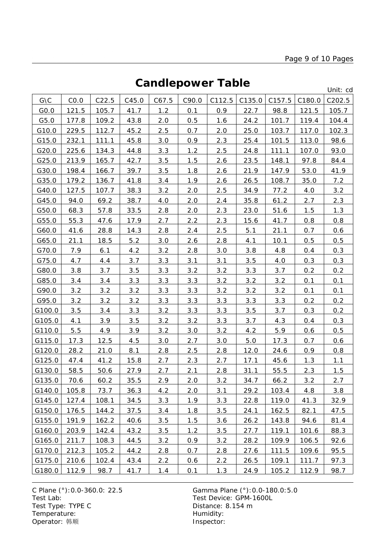# **Candlepower Table**

Unit: cd

|        |       |       |       |       |       |        |        |        |        | onna cu |
|--------|-------|-------|-------|-------|-------|--------|--------|--------|--------|---------|
| G\C    | CO.0  | C22.5 | C45.0 | C67.5 | C90.0 | C112.5 | C135.0 | C157.5 | C180.0 | C202.5  |
| GO.0   | 121.5 | 105.7 | 41.7  | 1.2   | 0.1   | 0.9    | 22.7   | 98.8   | 121.5  | 105.7   |
| G5.0   | 177.8 | 109.2 | 43.8  | 2.0   | 0.5   | 1.6    | 24.2   | 101.7  | 119.4  | 104.4   |
| G10.0  | 229.5 | 112.7 | 45.2  | 2.5   | 0.7   | 2.0    | 25.0   | 103.7  | 117.0  | 102.3   |
| G15.0  | 232.1 | 111.1 | 45.8  | 3.0   | 0.9   | 2.3    | 25.4   | 101.5  | 113.0  | 98.6    |
| G20.0  | 225.6 | 134.3 | 44.8  | 3.3   | 1.2   | 2.5    | 24.8   | 111.1  | 107.0  | 93.0    |
| G25.0  | 213.9 | 165.7 | 42.7  | 3.5   | 1.5   | 2.6    | 23.5   | 148.1  | 97.8   | 84.4    |
| G30.0  | 198.4 | 166.7 | 39.7  | 3.5   | 1.8   | 2.6    | 21.9   | 147.9  | 53.0   | 41.9    |
| G35.0  | 179.2 | 136.7 | 41.8  | 3.4   | 1.9   | 2.6    | 26.5   | 108.7  | 35.0   | 7.2     |
| G40.0  | 127.5 | 107.7 | 38.3  | 3.2   | 2.0   | 2.5    | 34.9   | 77.2   | 4.0    | 3.2     |
| G45.0  | 94.0  | 69.2  | 38.7  | 4.0   | 2.0   | 2.4    | 35.8   | 61.2   | 2.7    | 2.3     |
| G50.0  | 68.3  | 57.8  | 33.5  | 2.8   | 2.0   | 2.3    | 23.0   | 51.6   | 1.5    | 1.3     |
| G55.0  | 55.3  | 47.6  | 17.9  | 2.7   | 2.2   | 2.3    | 15.6   | 41.7   | 0.8    | 0.8     |
| G60.0  | 41.6  | 28.8  | 14.3  | 2.8   | 2.4   | 2.5    | 5.1    | 21.1   | 0.7    | 0.6     |
| G65.0  | 21.1  | 18.5  | 5.2   | 3.0   | 2.6   | 2.8    | 4.1    | 10.1   | 0.5    | 0.5     |
| G70.0  | 7.9   | 6.1   | 4.2   | 3.2   | 2.8   | 3.0    | 3.8    | 4.8    | 0.4    | 0.3     |
| G75.0  | 4.7   | 4.4   | 3.7   | 3.3   | 3.1   | 3.1    | 3.5    | 4.0    | 0.3    | 0.3     |
| G80.0  | 3.8   | 3.7   | 3.5   | 3.3   | 3.2   | 3.2    | 3.3    | 3.7    | 0.2    | 0.2     |
| G85.0  | 3.4   | 3.4   | 3.3   | 3.3   | 3.3   | 3.2    | 3.2    | 3.2    | 0.1    | 0.1     |
| G90.0  | 3.2   | 3.2   | 3.2   | 3.3   | 3.3   | 3.2    | 3.2    | 3.2    | 0.1    | 0.1     |
| G95.0  | 3.2   | 3.2   | 3.2   | 3.3   | 3.3   | 3.3    | 3.3    | 3.3    | 0.2    | 0.2     |
| G100.0 | 3.5   | 3.4   | 3.3   | 3.2   | 3.3   | 3.3    | 3.5    | 3.7    | 0.3    | 0.2     |
| G105.0 | 4.1   | 3.9   | 3.5   | 3.2   | 3.2   | 3.3    | 3.7    | 4.3    | 0.4    | 0.3     |
| G110.0 | 5.5   | 4.9   | 3.9   | 3.2   | 3.0   | 3.2    | 4.2    | 5.9    | 0.6    | 0.5     |
| G115.0 | 17.3  | 12.5  | 4.5   | 3.0   | 2.7   | 3.0    | 5.0    | 17.3   | 0.7    | 0.6     |
| G120.0 | 28.2  | 21.0  | 8.1   | 2.8   | 2.5   | 2.8    | 12.0   | 24.6   | 0.9    | 0.8     |
| G125.0 | 47.4  | 41.2  | 15.8  | 2.7   | 2.3   | 2.7    | 17.1   | 45.6   | 1.3    | 1.1     |
| G130.0 | 58.5  | 50.6  | 27.9  | 2.7   | 2.1   | 2.8    | 31.1   | 55.5   | 2.3    | 1.5     |
| G135.0 | 70.6  | 60.2  | 35.5  | 2.9   | 2.0   | 3.2    | 34.7   | 66.2   | 3.2    | 2.7     |
| G140.0 | 105.8 | 73.7  | 36.3  | 4.2   | 2.0   | 3.1    | 29.2   | 103.4  | 4.8    | 3.8     |
| G145.0 | 127.4 | 108.1 | 34.5  | 3.3   | 1.9   | 3.3    | 22.8   | 119.0  | 41.3   | 32.9    |
| G150.0 | 176.5 | 144.2 | 37.5  | 3.4   | 1.8   | 3.5    | 24.1   | 162.5  | 82.1   | 47.5    |
| G155.0 | 191.9 | 162.2 | 40.6  | 3.5   | 1.5   | 3.6    | 26.2   | 143.8  | 94.6   | 81.4    |
| G160.0 | 203.9 | 142.4 | 43.2  | 3.5   | 1.2   | 3.5    | 27.7   | 119.1  | 101.6  | 88.3    |
| G165.0 | 211.7 | 108.3 | 44.5  | 3.2   | 0.9   | 3.2    | 28.2   | 109.9  | 106.5  | 92.6    |
| G170.0 | 212.3 | 105.2 | 44.2  | 2.8   | 0.7   | 2.8    | 27.6   | 111.5  | 109.6  | 95.5    |
| G175.0 | 210.6 | 102.4 | 43.4  | 2.2   | 0.6   | 2.2    | 26.5   | 109.1  | 111.7  | 97.3    |
| G180.0 | 112.9 | 98.7  | 41.7  | 1.4   | 0.1   | 1.3    | 24.9   | 105.2  | 112.9  | 98.7    |

C Plane (°): 0.0-360.0: 22.5 Gamma Plane (°): 0.0-180.0: 5.0<br>Test Lab: Test Device: GPM-1600L Test Type: TYPE C Distance: 8.154 m Temperature: We are the more than the Humidity:<br>
Operator: 韩顺 Network: This are the Museum of the Museo of the Museo of the Museo of the Museo of the Museo of the Museo of the Museo of the Museo of the Museo of the Museo Operator: 韩顺

Test Device: GPM-1600L